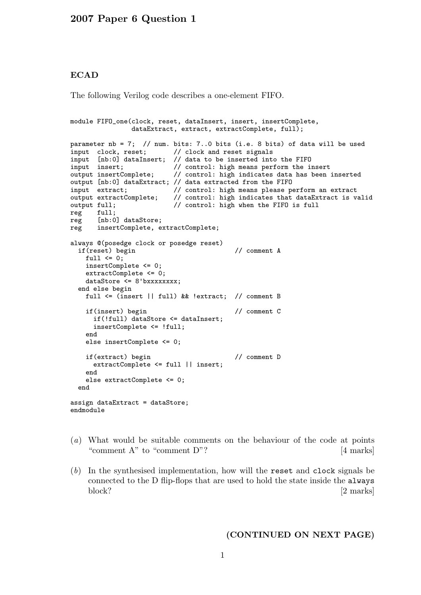## **ECAD**

The following Verilog code describes a one-element FIFO.

```
module FIFO_one(clock, reset, dataInsert, insert, insertComplete,
              dataExtract, extract, extractComplete, full);
parameter nb = 7; // num. bits: 7..0 bits (i.e. 8 bits) of data will be used
input clock, reset; // clock and reset signals
input [nb:0] dataInsert; // data to be inserted into the FIFO
input insert; // control: high means perform the insert
output insertComplete; // control: high indicates data has been inserted
output [nb:0] dataExtract; // data extracted from the FIFO
input extract; \frac{1}{2} control: high means please perform an extract
output extractComplete; // control: high indicates that dataExtract is valid
output full; // control: high when the FIFO is full
reg full;<br>reg [nb:0
      [nb:0] dataStore;
reg insertComplete, extractComplete;
always @(posedge clock or posedge reset)
 if(reset) begin // comment A
   full \leq 0;
   insertComplete <= 0;
   extractComplete <= 0;
   dataStore <= 8'bxxxxxxxx;
 end else begin
   full <= (insert || full) && !extract; // comment B
   if(insert) begin // comment C
     if(!full) dataStore <= dataInsert;
     insertComplete <= !full;
   end
   else insertComplete <= 0;
   if(extract) begin // comment D
     extractComplete <= full || insert;
   end
   else extractComplete <= 0;
 end
assign dataExtract = dataStore;
endmodule
```
- (a) What would be suitable comments on the behaviour of the code at points "comment A" to "comment D"? [4 marks]
- (b) In the synthesised implementation, how will the reset and clock signals be connected to the D flip-flops that are used to hold the state inside the always block? [2 marks]

(CONTINUED ON NEXT PAGE)